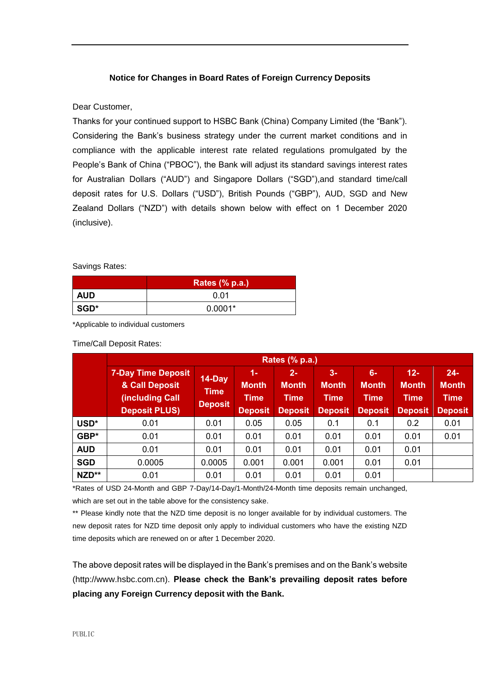## **Notice for Changes in Board Rates of Foreign Currency Deposits**

## Dear Customer,

Thanks for your continued support to HSBC Bank (China) Company Limited (the "Bank"). Considering the Bank's business strategy under the current market conditions and in compliance with the applicable interest rate related regulations promulgated by the People's Bank of China ("PBOC"), the Bank will adjust its standard savings interest rates for Australian Dollars ("AUD") and Singapore Dollars ("SGD"),and standard time/call deposit rates for U.S. Dollars ("USD"), British Pounds ("GBP"), AUD, SGD and New Zealand Dollars ("NZD") with details shown below with effect on 1 December 2020 (inclusive).

## Savings Rates:

|            | <b>Rates (% p.a.)</b> |  |  |  |  |  |
|------------|-----------------------|--|--|--|--|--|
| <b>AUD</b> | 0.01                  |  |  |  |  |  |
| SGD*       | $0.0001*$             |  |  |  |  |  |

\*Applicable to individual customers

## Time/Call Deposit Rates:

|            | <b>Rates (% p.a.)</b>                                                                  |                                         |                                                        |                                                        |                                                       |                                                       |                                                         |                                                         |  |  |
|------------|----------------------------------------------------------------------------------------|-----------------------------------------|--------------------------------------------------------|--------------------------------------------------------|-------------------------------------------------------|-------------------------------------------------------|---------------------------------------------------------|---------------------------------------------------------|--|--|
|            | <b>7-Day Time Deposit</b><br>& Call Deposit<br>(including Call<br><b>Deposit PLUS)</b> | 14-Day<br><b>Time</b><br><b>Deposit</b> | $1 -$<br><b>Month</b><br><b>Time</b><br><b>Deposit</b> | $2 -$<br><b>Month</b><br><b>Time</b><br><b>Deposit</b> | $3-$<br><b>Month</b><br><b>Time</b><br><b>Deposit</b> | $6-$<br><b>Month</b><br><b>Time</b><br><b>Deposit</b> | $12 -$<br><b>Month</b><br><b>Time</b><br><b>Deposit</b> | $24 -$<br><b>Month</b><br><b>Time</b><br><b>Deposit</b> |  |  |
| USD*       | 0.01                                                                                   | 0.01                                    | 0.05                                                   | 0.05                                                   | 0.1                                                   | 0.1                                                   | 0.2                                                     | 0.01                                                    |  |  |
| GBP*       | 0.01                                                                                   | 0.01                                    | 0.01                                                   | 0.01                                                   | 0.01                                                  | 0.01                                                  | 0.01                                                    | 0.01                                                    |  |  |
| <b>AUD</b> | 0.01                                                                                   | 0.01                                    | 0.01                                                   | 0.01                                                   | 0.01                                                  | 0.01                                                  | 0.01                                                    |                                                         |  |  |
| <b>SGD</b> | 0.0005                                                                                 | 0.0005                                  | 0.001                                                  | 0.001                                                  | 0.001                                                 | 0.01                                                  | 0.01                                                    |                                                         |  |  |
| NZD**      | 0.01                                                                                   | 0.01                                    | 0.01                                                   | 0.01                                                   | 0.01                                                  | 0.01                                                  |                                                         |                                                         |  |  |

\*Rates of USD 24-Month and GBP 7-Day/14-Day/1-Month/24-Month time deposits remain unchanged, which are set out in the table above for the consistency sake.

\*\* Please kindly note that the NZD time deposit is no longer available for by individual customers. The new deposit rates for NZD time deposit only apply to individual customers who have the existing NZD time deposits which are renewed on or after 1 December 2020.

The above deposit rates will be displayed in the Bank's premises and on the Bank's website (http://www.hsbc.com.cn). **Please check the Bank's prevailing deposit rates before placing any Foreign Currency deposit with the Bank.**